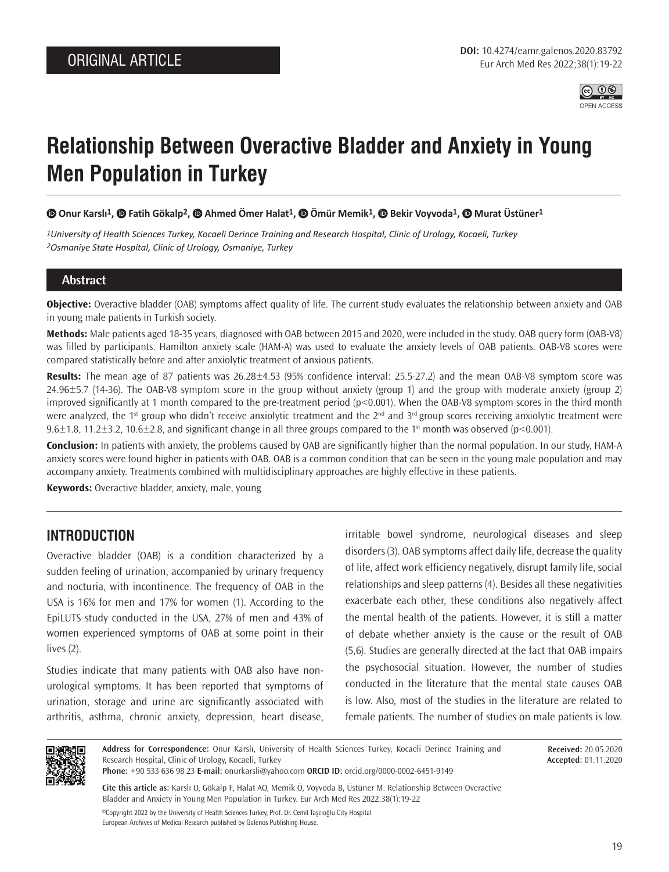

# **Relationship Between Overactive Bladder and Anxiety in Young Men Population in Turkey**

**Onur Karslı1, Fatih Gökalp2, Ahmed Ömer Halat1, Ömür Memik1, Bekir Voyvoda1, Murat Üstüner1**

*1University of Health Sciences Turkey, Kocaeli Derince Training and Research Hospital, Clinic of Urology, Kocaeli, Turkey 2Osmaniye State Hospital, Clinic of Urology, Osmaniye, Turkey*

## **Abstract**

**Objective:** Overactive bladder (OAB) symptoms affect quality of life. The current study evaluates the relationship between anxiety and OAB in young male patients in Turkish society.

**Methods:** Male patients aged 18-35 years, diagnosed with OAB between 2015 and 2020, were included in the study. OAB query form (OAB-V8) was filled by participants. Hamilton anxiety scale (HAM-A) was used to evaluate the anxiety levels of OAB patients. OAB-V8 scores were compared statistically before and after anxiolytic treatment of anxious patients.

**Results:** The mean age of 87 patients was 26.28±4.53 (95% confidence interval: 25.5-27.2) and the mean OAB-V8 symptom score was 24.96±5.7 (14-36). The OAB-V8 symptom score in the group without anxiety (group 1) and the group with moderate anxiety (group 2) improved significantly at 1 month compared to the pre-treatment period (p<0.001). When the OAB-V8 symptom scores in the third month were analyzed, the 1<sup>st</sup> group who didn't receive anxiolytic treatment and the 2<sup>nd</sup> and 3<sup>rd</sup> group scores receiving anxiolytic treatment were 9.6 $\pm$ 1.8, 11.2 $\pm$ 3.2, 10.6 $\pm$ 2.8, and significant change in all three groups compared to the 1st month was observed (p<0.001).

**Conclusion:** In patients with anxiety, the problems caused by OAB are significantly higher than the normal population. In our study, HAM-A anxiety scores were found higher in patients with OAB. OAB is a common condition that can be seen in the young male population and may accompany anxiety. Treatments combined with multidisciplinary approaches are highly effective in these patients.

**Keywords:** Overactive bladder, anxiety, male, young

# **INTRODUCTION**

Overactive bladder (OAB) is a condition characterized by a sudden feeling of urination, accompanied by urinary frequency and nocturia, with incontinence. The frequency of OAB in the USA is 16% for men and 17% for women (1). According to the EpiLUTS study conducted in the USA, 27% of men and 43% of women experienced symptoms of OAB at some point in their lives (2).

Studies indicate that many patients with OAB also have nonurological symptoms. It has been reported that symptoms of urination, storage and urine are significantly associated with arthritis, asthma, chronic anxiety, depression, heart disease,

irritable bowel syndrome, neurological diseases and sleep disorders (3). OAB symptoms affect daily life, decrease the quality of life, affect work efficiency negatively, disrupt family life, social relationships and sleep patterns (4). Besides all these negativities exacerbate each other, these conditions also negatively affect the mental health of the patients. However, it is still a matter of debate whether anxiety is the cause or the result of OAB (5,6). Studies are generally directed at the fact that OAB impairs the psychosocial situation. However, the number of studies conducted in the literature that the mental state causes OAB is low. Also, most of the studies in the literature are related to female patients. The number of studies on male patients is low.



**Address for Correspondence:** Onur Karslı, University of Health Sciences Turkey, Kocaeli Derince Training and Research Hospital, Clinic of Urology, Kocaeli, Turkey

**Phone:** +90 533 636 98 23 **E-mail:** onurkarsli@yahoo.com **ORCID ID:** orcid.org/0000-0002-6451-9149

©Copyright 2022 by the University of Health Sciences Turkey, Prof. Dr. Cemil Taşcıoğlu City Hospital **Cite this article as:** Karslı O, Gökalp F, Halat AÖ, Memik Ö, Voyvoda B, Üstüner M. Relationship Between Overactive Bladder and Anxiety in Young Men Population in Turkey. Eur Arch Med Res 2022;38(1):19-22

European Archives of Medical Research published by Galenos Publishing House.

**Received:** 20.05.2020 **Accepted:** 01.11.2020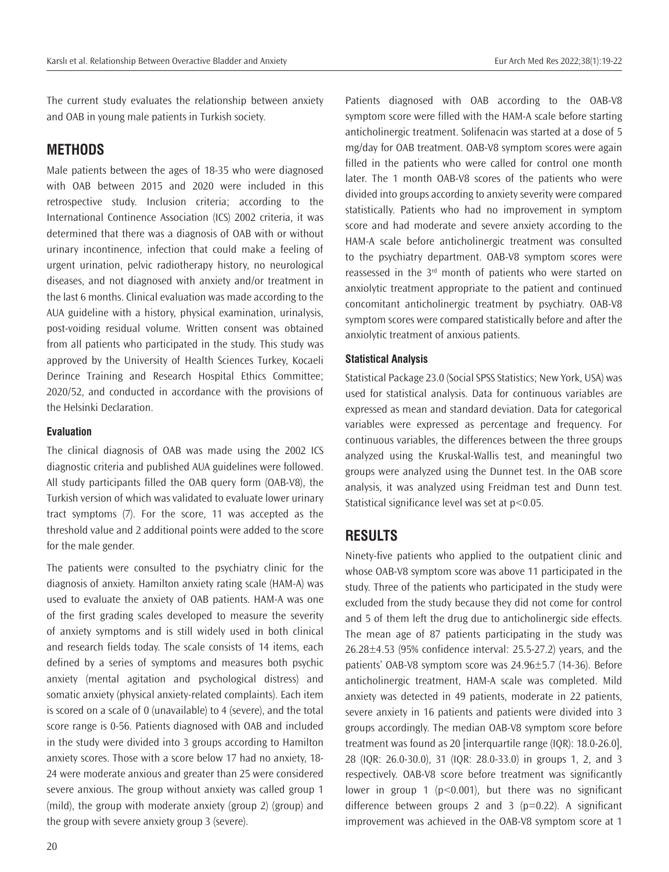The current study evaluates the relationship between anxiety and OAB in young male patients in Turkish society.

## **METHODS**

Male patients between the ages of 18-35 who were diagnosed with OAB between 2015 and 2020 were included in this retrospective study. Inclusion criteria; according to the International Continence Association (ICS) 2002 criteria, it was determined that there was a diagnosis of OAB with or without urinary incontinence, infection that could make a feeling of urgent urination, pelvic radiotherapy history, no neurological diseases, and not diagnosed with anxiety and/or treatment in the last 6 months. Clinical evaluation was made according to the AUA guideline with a history, physical examination, urinalysis, post-voiding residual volume. Written consent was obtained from all patients who participated in the study. This study was approved by the University of Health Sciences Turkey, Kocaeli Derince Training and Research Hospital Ethics Committee; 2020/52, and conducted in accordance with the provisions of the Helsinki Declaration.

#### **Evaluation**

The clinical diagnosis of OAB was made using the 2002 ICS diagnostic criteria and published AUA guidelines were followed. All study participants filled the OAB query form (OAB-V8), the Turkish version of which was validated to evaluate lower urinary tract symptoms (7). For the score, 11 was accepted as the threshold value and 2 additional points were added to the score for the male gender.

The patients were consulted to the psychiatry clinic for the diagnosis of anxiety. Hamilton anxiety rating scale (HAM-A) was used to evaluate the anxiety of OAB patients. HAM-A was one of the first grading scales developed to measure the severity of anxiety symptoms and is still widely used in both clinical and research fields today. The scale consists of 14 items, each defined by a series of symptoms and measures both psychic anxiety (mental agitation and psychological distress) and somatic anxiety (physical anxiety-related complaints). Each item is scored on a scale of 0 (unavailable) to 4 (severe), and the total score range is 0-56. Patients diagnosed with OAB and included in the study were divided into 3 groups according to Hamilton anxiety scores. Those with a score below 17 had no anxiety, 18- 24 were moderate anxious and greater than 25 were considered severe anxious. The group without anxiety was called group 1 (mild), the group with moderate anxiety (group 2) (group) and the group with severe anxiety group 3 (severe).

Patients diagnosed with OAB according to the OAB-V8 symptom score were filled with the HAM-A scale before starting anticholinergic treatment. Solifenacin was started at a dose of 5 mg/day for OAB treatment. OAB-V8 symptom scores were again filled in the patients who were called for control one month later. The 1 month OAB-V8 scores of the patients who were divided into groups according to anxiety severity were compared statistically. Patients who had no improvement in symptom score and had moderate and severe anxiety according to the HAM-A scale before anticholinergic treatment was consulted to the psychiatry department. OAB-V8 symptom scores were reassessed in the  $3<sup>rd</sup>$  month of patients who were started on anxiolytic treatment appropriate to the patient and continued concomitant anticholinergic treatment by psychiatry. OAB-V8 symptom scores were compared statistically before and after the anxiolytic treatment of anxious patients.

#### **Statistical Analysis**

Statistical Package 23.0 (Social SPSS Statistics; New York, USA) was used for statistical analysis. Data for continuous variables are expressed as mean and standard deviation. Data for categorical variables were expressed as percentage and frequency. For continuous variables, the differences between the three groups analyzed using the Kruskal-Wallis test, and meaningful two groups were analyzed using the Dunnet test. In the OAB score analysis, it was analyzed using Freidman test and Dunn test. Statistical significance level was set at p<0.05.

## **RESULTS**

Ninety-five patients who applied to the outpatient clinic and whose OAB-V8 symptom score was above 11 participated in the study. Three of the patients who participated in the study were excluded from the study because they did not come for control and 5 of them left the drug due to anticholinergic side effects. The mean age of 87 patients participating in the study was 26.28±4.53 (95% confidence interval: 25.5-27.2) years, and the patients' OAB-V8 symptom score was 24.96±5.7 (14-36). Before anticholinergic treatment, HAM-A scale was completed. Mild anxiety was detected in 49 patients, moderate in 22 patients, severe anxiety in 16 patients and patients were divided into 3 groups accordingly. The median OAB-V8 symptom score before treatment was found as 20 [interquartile range (IQR): 18.0-26.0], 28 (IQR: 26.0-30.0), 31 (IQR: 28.0-33.0) in groups 1, 2, and 3 respectively. OAB-V8 score before treatment was significantly lower in group 1 ( $p$ <0.001), but there was no significant difference between groups 2 and 3 ( $p=0.22$ ). A significant improvement was achieved in the OAB-V8 symptom score at 1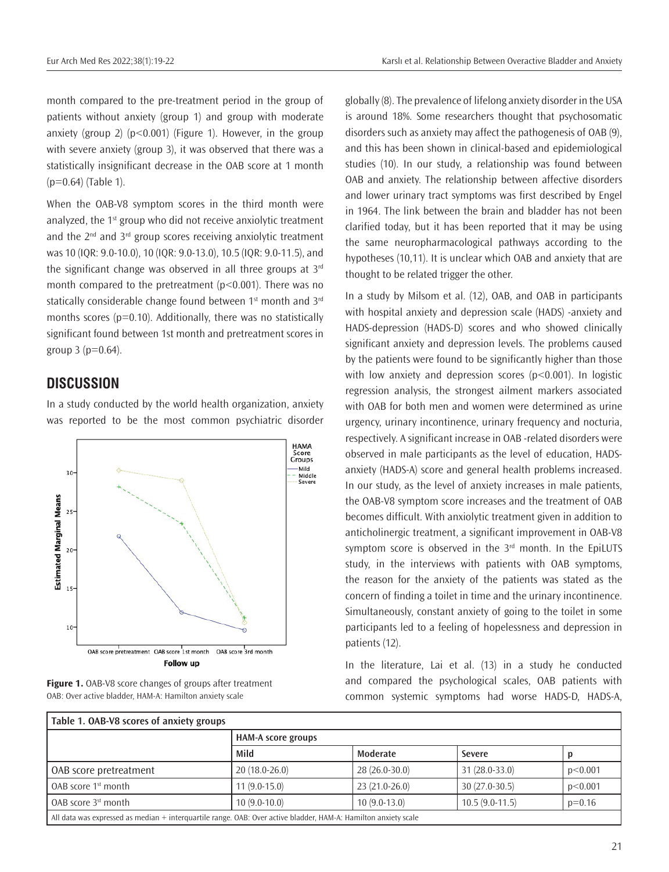month compared to the pre-treatment period in the group of patients without anxiety (group 1) and group with moderate anxiety (group 2) ( $p < 0.001$ ) (Figure 1). However, in the group with severe anxiety (group 3), it was observed that there was a statistically insignificant decrease in the OAB score at 1 month  $(p=0.64)$  (Table 1).

When the OAB-V8 symptom scores in the third month were analyzed, the 1<sup>st</sup> group who did not receive anxiolytic treatment and the  $2^{nd}$  and  $3^{rd}$  group scores receiving anxiolytic treatment was 10 (IQR: 9.0-10.0), 10 (IQR: 9.0-13.0), 10.5 (IQR: 9.0-11.5), and the significant change was observed in all three groups at  $3<sup>rd</sup>$ month compared to the pretreatment (p<0.001). There was no statically considerable change found between 1st month and 3rd months scores ( $p=0.10$ ). Additionally, there was no statistically significant found between 1st month and pretreatment scores in group  $3$  ( $p=0.64$ ).

# **DISCUSSION**

In a study conducted by the world health organization, anxiety was reported to be the most common psychiatric disorder





globally (8). The prevalence of lifelong anxiety disorder in the USA is around 18%. Some researchers thought that psychosomatic disorders such as anxiety may affect the pathogenesis of OAB (9), and this has been shown in clinical-based and epidemiological studies (10). In our study, a relationship was found between OAB and anxiety. The relationship between affective disorders and lower urinary tract symptoms was first described by Engel in 1964. The link between the brain and bladder has not been clarified today, but it has been reported that it may be using the same neuropharmacological pathways according to the hypotheses (10,11). It is unclear which OAB and anxiety that are thought to be related trigger the other.

In a study by Milsom et al. (12), OAB, and OAB in participants with hospital anxiety and depression scale (HADS) -anxiety and HADS-depression (HADS-D) scores and who showed clinically significant anxiety and depression levels. The problems caused by the patients were found to be significantly higher than those with low anxiety and depression scores ( $p < 0.001$ ). In logistic regression analysis, the strongest ailment markers associated with OAB for both men and women were determined as urine urgency, urinary incontinence, urinary frequency and nocturia, respectively. A significant increase in OAB -related disorders were observed in male participants as the level of education, HADSanxiety (HADS-A) score and general health problems increased. In our study, as the level of anxiety increases in male patients, the OAB-V8 symptom score increases and the treatment of OAB becomes difficult. With anxiolytic treatment given in addition to anticholinergic treatment, a significant improvement in OAB-V8 symptom score is observed in the  $3<sup>rd</sup>$  month. In the EpiLUTS study, in the interviews with patients with OAB symptoms, the reason for the anxiety of the patients was stated as the concern of finding a toilet in time and the urinary incontinence. Simultaneously, constant anxiety of going to the toilet in some participants led to a feeling of hopelessness and depression in patients (12).

In the literature, Lai et al. (13) in a study he conducted and compared the psychological scales, OAB patients with common systemic symptoms had worse HADS-D, HADS-A,

| Table 1. OAB-V8 scores of anxiety groups                                                                        |                           |                 |                  |          |
|-----------------------------------------------------------------------------------------------------------------|---------------------------|-----------------|------------------|----------|
|                                                                                                                 | <b>HAM-A score groups</b> |                 |                  |          |
|                                                                                                                 | Mild                      | Moderate        | Severe           |          |
| OAB score pretreatment                                                                                          | $20(18.0-26.0)$           | $28(26.0-30.0)$ | 31 (28.0-33.0)   | p<0.001  |
| l OAB score 1st month                                                                                           | $11(9.0-15.0)$            | $23(21.0-26.0)$ | $30(27.0-30.5)$  | p<0.001  |
| l OAB score 3st month                                                                                           | $10(9.0-10.0)$            | $10(9.0-13.0)$  | $10.5(9.0-11.5)$ | $p=0.16$ |
| All data was expressed as median + interguartile range. OAB: Over active bladder, HAM-A: Hamilton anxiety scale |                           |                 |                  |          |